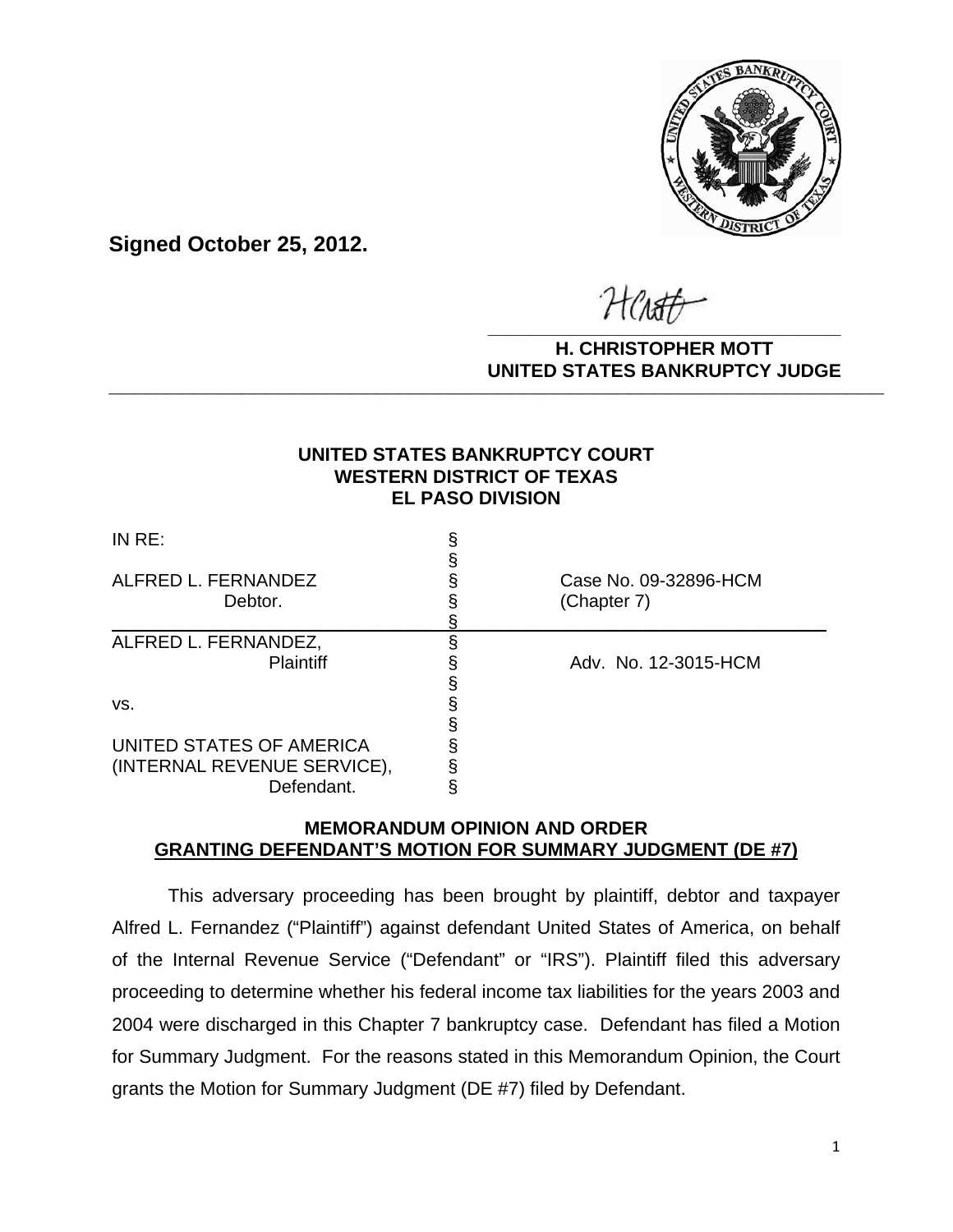

**Signed October 25, 2012.**

**\_\_\_\_\_\_\_\_\_\_\_\_\_\_\_\_\_\_\_\_\_\_\_\_\_\_\_\_\_\_\_\_\_\_**

### **H. CHRISTOPHER MOTT UNITED STATES BANKRUPTCY JUDGE PATTED DRIVING TOT 00DCL**

## **UNITED STATES BANKRUPTCY COURT WESTERN DISTRICT OF TEXAS EL PASO DIVISION**

| INRE:                                     |                                      |
|-------------------------------------------|--------------------------------------|
| ALFRED L. FERNANDEZ<br>Debtor.            | Case No. 09-32896-HCM<br>(Chapter 7) |
| ALFRED L. FERNANDEZ,                      |                                      |
| <b>Plaintiff</b>                          | Adv. No. 12-3015-HCM                 |
| VS.                                       |                                      |
| UNITED STATES OF AMERICA                  |                                      |
| (INTERNAL REVENUE SERVICE),<br>Defendant. |                                      |

# **MEMORANDUM OPINION AND ORDER GRANTING DEFENDANT'S MOTION FOR SUMMARY JUDGMENT (DE #7)**

This adversary proceeding has been brought by plaintiff, debtor and taxpayer Alfred L. Fernandez ("Plaintiff") against defendant United States of America, on behalf of the Internal Revenue Service ("Defendant" or "IRS"). Plaintiff filed this adversary proceeding to determine whether his federal income tax liabilities for the years 2003 and 2004 were discharged in this Chapter 7 bankruptcy case. Defendant has filed a Motion for Summary Judgment. For the reasons stated in this Memorandum Opinion, the Court grants the Motion for Summary Judgment (DE #7) filed by Defendant.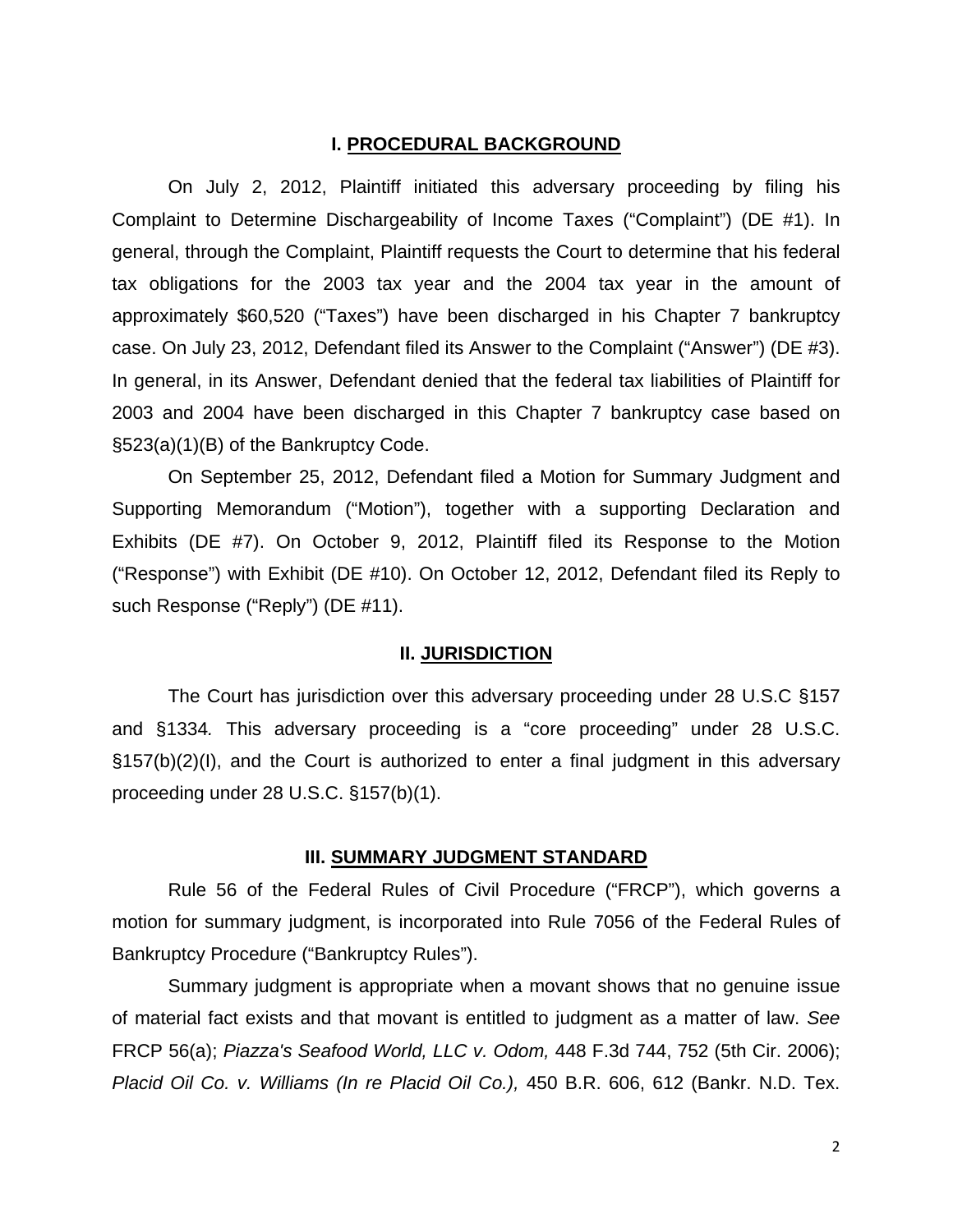### **I. PROCEDURAL BACKGROUND**

On July 2, 2012, Plaintiff initiated this adversary proceeding by filing his Complaint to Determine Dischargeability of Income Taxes ("Complaint") (DE #1). In general, through the Complaint, Plaintiff requests the Court to determine that his federal tax obligations for the 2003 tax year and the 2004 tax year in the amount of approximately \$60,520 ("Taxes") have been discharged in his Chapter 7 bankruptcy case. On July 23, 2012, Defendant filed its Answer to the Complaint ("Answer") (DE #3). In general, in its Answer, Defendant denied that the federal tax liabilities of Plaintiff for 2003 and 2004 have been discharged in this Chapter 7 bankruptcy case based on §523(a)(1)(B) of the Bankruptcy Code.

 On September 25, 2012, Defendant filed a Motion for Summary Judgment and Supporting Memorandum ("Motion"), together with a supporting Declaration and Exhibits (DE #7). On October 9, 2012, Plaintiff filed its Response to the Motion ("Response") with Exhibit (DE #10). On October 12, 2012, Defendant filed its Reply to such Response ("Reply") (DE #11).

#### **II. JURISDICTION**

 The Court has jurisdiction over this adversary proceeding under 28 U.S.C §157 and §1334*.* This adversary proceeding is a "core proceeding" under 28 U.S.C. §157(b)(2)(I), and the Court is authorized to enter a final judgment in this adversary proceeding under 28 U.S.C. §157(b)(1).

### **III. SUMMARY JUDGMENT STANDARD**

Rule 56 of the Federal Rules of Civil Procedure ("FRCP"), which governs a motion for summary judgment, is incorporated into Rule 7056 of the Federal Rules of Bankruptcy Procedure ("Bankruptcy Rules").

Summary judgment is appropriate when a movant shows that no genuine issue of material fact exists and that movant is entitled to judgment as a matter of law. *See* FRCP 56(a); *Piazza's Seafood World, LLC v. Odom,* 448 F.3d 744, 752 (5th Cir. 2006); *Placid Oil Co. v. Williams (In re Placid Oil Co.),* 450 B.R. 606, 612 (Bankr. N.D. Tex.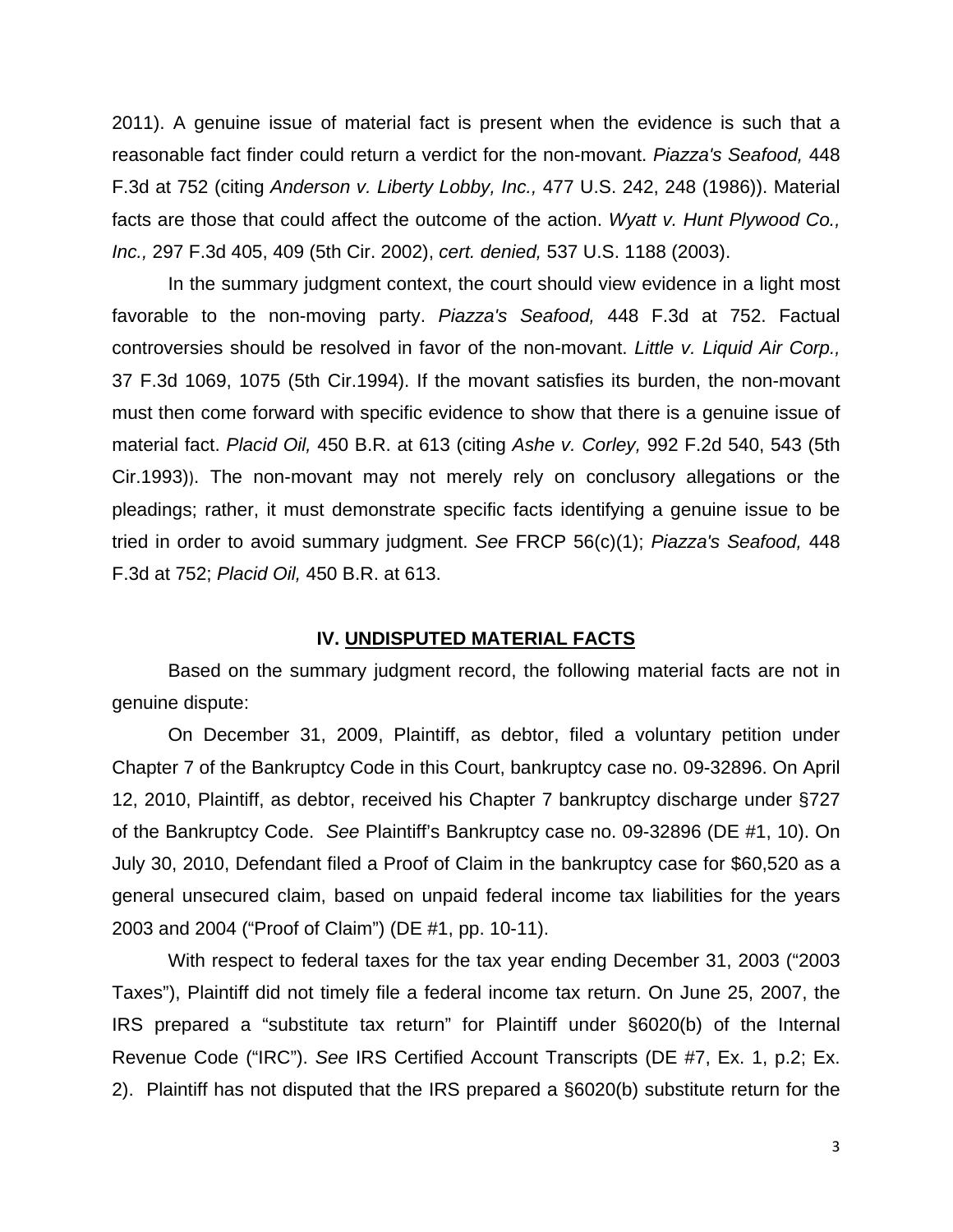2011). A genuine issue of material fact is present when the evidence is such that a reasonable fact finder could return a verdict for the non-movant. *Piazza's Seafood,* 448 F.3d at 752 (citing *Anderson v. Liberty Lobby, Inc.,* 477 U.S. 242, 248 (1986)). Material facts are those that could affect the outcome of the action. *Wyatt v. Hunt Plywood Co., Inc.,* 297 F.3d 405, 409 (5th Cir. 2002), *cert. denied,* 537 U.S. 1188 (2003).

In the summary judgment context, the court should view evidence in a light most favorable to the non-moving party. *Piazza's Seafood,* 448 F.3d at 752. Factual controversies should be resolved in favor of the non-movant. *Little v. Liquid Air Corp.,* 37 F.3d 1069, 1075 (5th Cir.1994). If the movant satisfies its burden, the non-movant must then come forward with specific evidence to show that there is a genuine issue of material fact. *Placid Oil,* 450 B.R. at 613 (citing *Ashe v. Corley,* 992 F.2d 540, 543 (5th Cir.1993)). The non-movant may not merely rely on conclusory allegations or the pleadings; rather, it must demonstrate specific facts identifying a genuine issue to be tried in order to avoid summary judgment. *See* FRCP 56(c)(1); *Piazza's Seafood,* 448 F.3d at 752; *Placid Oil,* 450 B.R. at 613.

#### **IV. UNDISPUTED MATERIAL FACTS**

 Based on the summary judgment record, the following material facts are not in genuine dispute:

On December 31, 2009, Plaintiff, as debtor, filed a voluntary petition under Chapter 7 of the Bankruptcy Code in this Court, bankruptcy case no. 09-32896. On April 12, 2010, Plaintiff, as debtor, received his Chapter 7 bankruptcy discharge under §727 of the Bankruptcy Code. *See* Plaintiff's Bankruptcy case no. 09-32896 (DE #1, 10). On July 30, 2010, Defendant filed a Proof of Claim in the bankruptcy case for \$60,520 as a general unsecured claim, based on unpaid federal income tax liabilities for the years 2003 and 2004 ("Proof of Claim") (DE #1, pp. 10-11).

With respect to federal taxes for the tax year ending December 31, 2003 ("2003 Taxes"), Plaintiff did not timely file a federal income tax return. On June 25, 2007, the IRS prepared a "substitute tax return" for Plaintiff under §6020(b) of the Internal Revenue Code ("IRC"). *See* IRS Certified Account Transcripts (DE #7, Ex. 1, p.2; Ex. 2). Plaintiff has not disputed that the IRS prepared a §6020(b) substitute return for the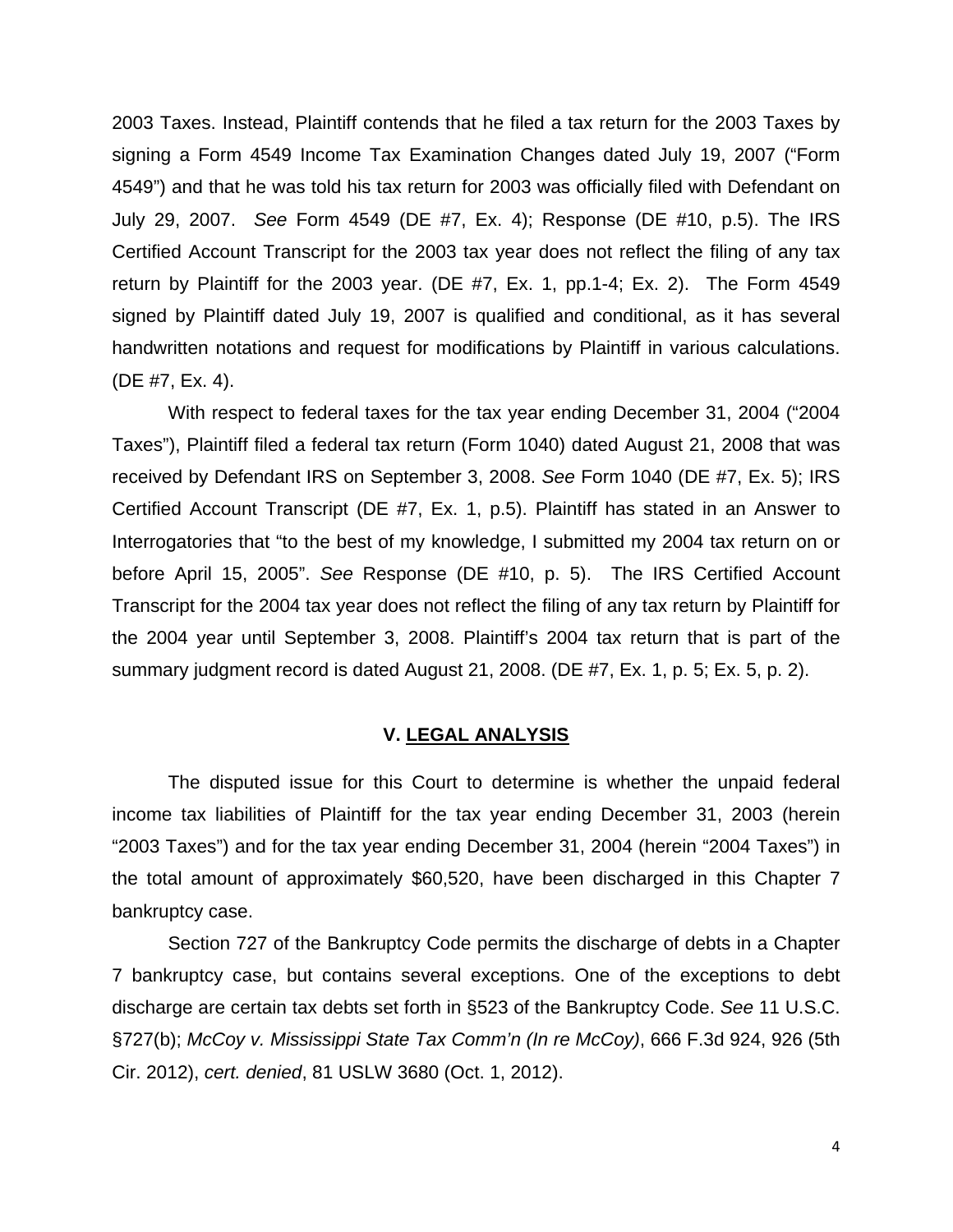2003 Taxes. Instead, Plaintiff contends that he filed a tax return for the 2003 Taxes by signing a Form 4549 Income Tax Examination Changes dated July 19, 2007 ("Form 4549") and that he was told his tax return for 2003 was officially filed with Defendant on July 29, 2007. *See* Form 4549 (DE #7, Ex. 4); Response (DE #10, p.5). The IRS Certified Account Transcript for the 2003 tax year does not reflect the filing of any tax return by Plaintiff for the 2003 year. (DE #7, Ex. 1, pp.1-4; Ex. 2). The Form 4549 signed by Plaintiff dated July 19, 2007 is qualified and conditional, as it has several handwritten notations and request for modifications by Plaintiff in various calculations. (DE #7, Ex. 4).

With respect to federal taxes for the tax year ending December 31, 2004 ("2004 Taxes"), Plaintiff filed a federal tax return (Form 1040) dated August 21, 2008 that was received by Defendant IRS on September 3, 2008. *See* Form 1040 (DE #7, Ex. 5); IRS Certified Account Transcript (DE #7, Ex. 1, p.5). Plaintiff has stated in an Answer to Interrogatories that "to the best of my knowledge, I submitted my 2004 tax return on or before April 15, 2005". *See* Response (DE #10, p. 5). The IRS Certified Account Transcript for the 2004 tax year does not reflect the filing of any tax return by Plaintiff for the 2004 year until September 3, 2008. Plaintiff's 2004 tax return that is part of the summary judgment record is dated August 21, 2008. (DE #7, Ex. 1, p. 5; Ex. 5, p. 2).

## **V. LEGAL ANALYSIS**

The disputed issue for this Court to determine is whether the unpaid federal income tax liabilities of Plaintiff for the tax year ending December 31, 2003 (herein "2003 Taxes") and for the tax year ending December 31, 2004 (herein "2004 Taxes") in the total amount of approximately \$60,520, have been discharged in this Chapter 7 bankruptcy case.

Section 727 of the Bankruptcy Code permits the discharge of debts in a Chapter 7 bankruptcy case, but contains several exceptions. One of the exceptions to debt discharge are certain tax debts set forth in §523 of the Bankruptcy Code. *See* 11 U.S.C. §727(b); *McCoy v. Mississippi State Tax Comm'n (In re McCoy)*, 666 F.3d 924, 926 (5th Cir. 2012), *cert. denied*, 81 USLW 3680 (Oct. 1, 2012).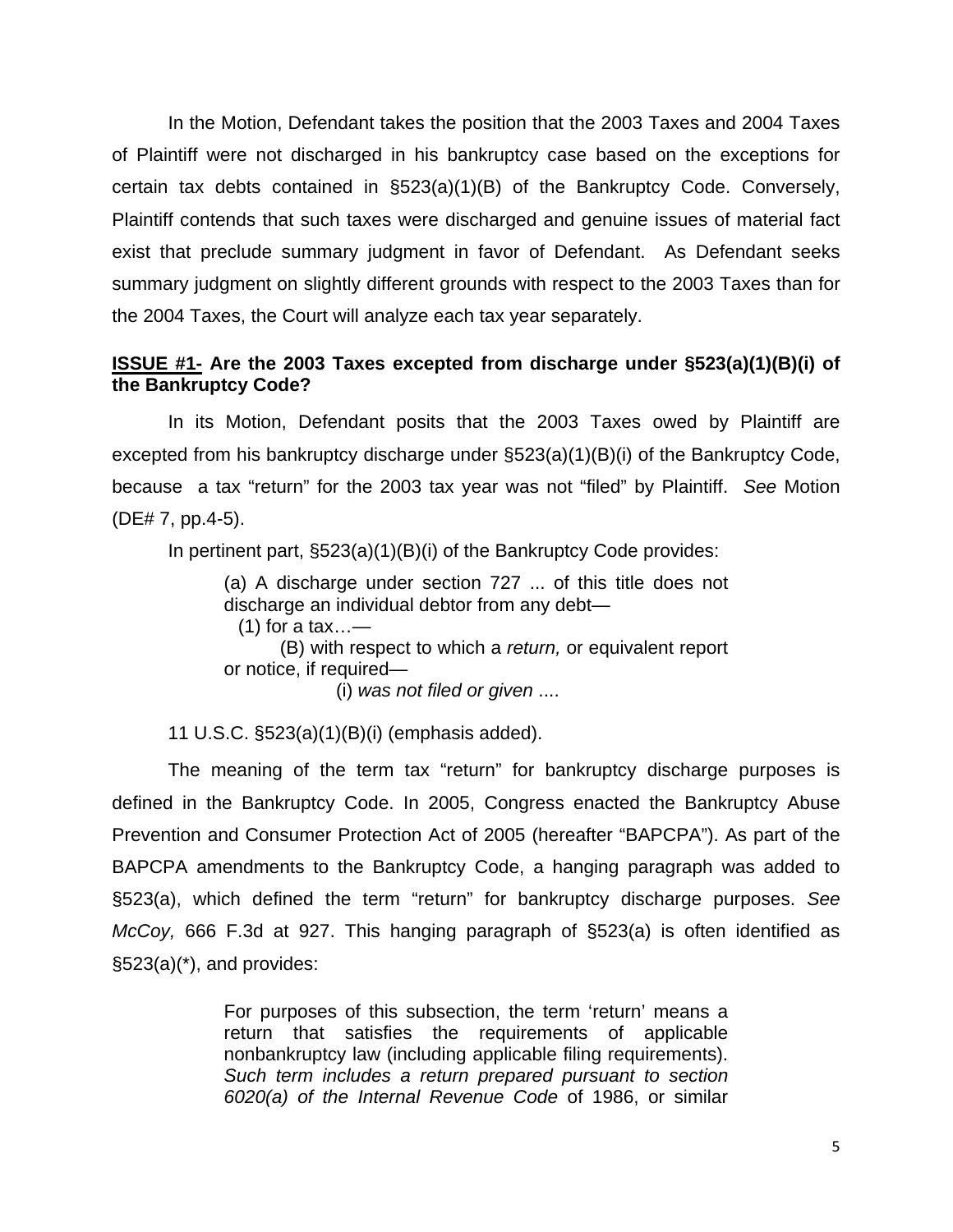In the Motion, Defendant takes the position that the 2003 Taxes and 2004 Taxes of Plaintiff were not discharged in his bankruptcy case based on the exceptions for certain tax debts contained in §523(a)(1)(B) of the Bankruptcy Code. Conversely, Plaintiff contends that such taxes were discharged and genuine issues of material fact exist that preclude summary judgment in favor of Defendant. As Defendant seeks summary judgment on slightly different grounds with respect to the 2003 Taxes than for the 2004 Taxes, the Court will analyze each tax year separately.

# **ISSUE #1- Are the 2003 Taxes excepted from discharge under §523(a)(1)(B)(i) of the Bankruptcy Code?**

 In its Motion, Defendant posits that the 2003 Taxes owed by Plaintiff are excepted from his bankruptcy discharge under §523(a)(1)(B)(i) of the Bankruptcy Code, because a tax "return" for the 2003 tax year was not "filed" by Plaintiff. *See* Motion (DE# 7, pp.4-5).

In pertinent part, §523(a)(1)(B)(i) of the Bankruptcy Code provides:

(a) A discharge under section 727 ... of this title does not discharge an individual debtor from any debt—

 $(1)$  for a tax...—

 (B) with respect to which a *return,* or equivalent report or notice, if required—

(i) *was not filed or given* ....

11 U.S.C. §523(a)(1)(B)(i) (emphasis added).

The meaning of the term tax "return" for bankruptcy discharge purposes is defined in the Bankruptcy Code. In 2005, Congress enacted the Bankruptcy Abuse Prevention and Consumer Protection Act of 2005 (hereafter "BAPCPA"). As part of the BAPCPA amendments to the Bankruptcy Code, a hanging paragraph was added to §523(a), which defined the term "return" for bankruptcy discharge purposes. *See McCoy,* 666 F.3d at 927. This hanging paragraph of §523(a) is often identified as  $\S523(a)$ <sup>\*</sup>), and provides:

> For purposes of this subsection, the term 'return' means a return that satisfies the requirements of applicable nonbankruptcy law (including applicable filing requirements). *Such term includes a return prepared pursuant to section 6020(a) of the Internal Revenue Code* of 1986, or similar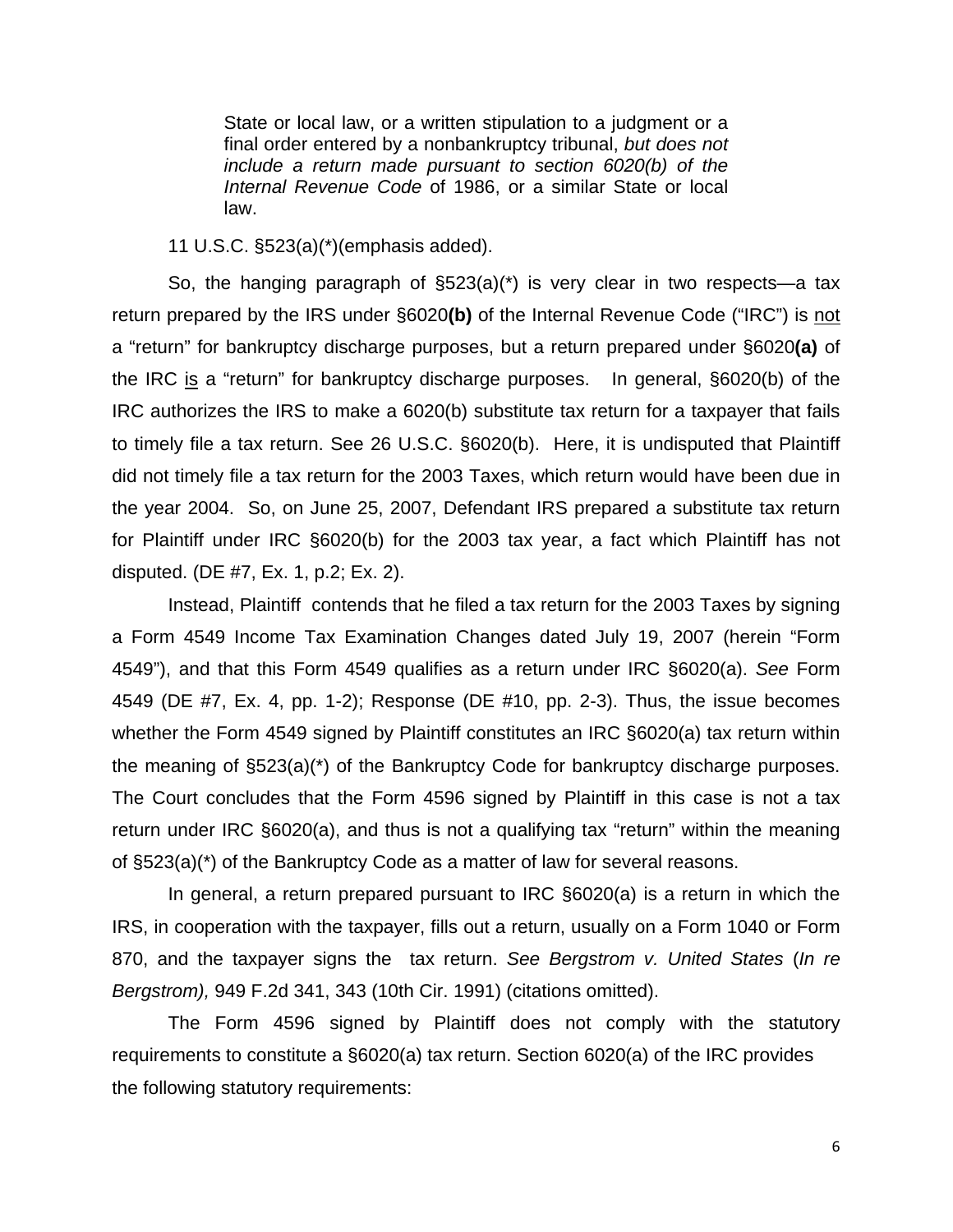State or local law, or a written stipulation to a judgment or a final order entered by a nonbankruptcy tribunal, *but does not include a return made pursuant to section 6020(b) of the Internal Revenue Code* of 1986, or a similar State or local law.

11 U.S.C. §523(a)(\*)(emphasis added).

 So, the hanging paragraph of §523(a)(\*) is very clear in two respects—a tax return prepared by the IRS under §6020**(b)** of the Internal Revenue Code ("IRC") is not a "return" for bankruptcy discharge purposes, but a return prepared under §6020**(a)** of the IRC is a "return" for bankruptcy discharge purposes. In general, §6020(b) of the IRC authorizes the IRS to make a 6020(b) substitute tax return for a taxpayer that fails to timely file a tax return. See 26 U.S.C. §6020(b). Here, it is undisputed that Plaintiff did not timely file a tax return for the 2003 Taxes, which return would have been due in the year 2004. So, on June 25, 2007, Defendant IRS prepared a substitute tax return for Plaintiff under IRC §6020(b) for the 2003 tax year, a fact which Plaintiff has not disputed. (DE #7, Ex. 1, p.2; Ex. 2).

Instead, Plaintiff contends that he filed a tax return for the 2003 Taxes by signing a Form 4549 Income Tax Examination Changes dated July 19, 2007 (herein "Form 4549"), and that this Form 4549 qualifies as a return under IRC §6020(a). *See* Form 4549 (DE #7, Ex. 4, pp. 1-2); Response (DE #10, pp. 2-3). Thus, the issue becomes whether the Form 4549 signed by Plaintiff constitutes an IRC §6020(a) tax return within the meaning of §523(a)(\*) of the Bankruptcy Code for bankruptcy discharge purposes. The Court concludes that the Form 4596 signed by Plaintiff in this case is not a tax return under IRC §6020(a), and thus is not a qualifying tax "return" within the meaning of §523(a)(\*) of the Bankruptcy Code as a matter of law for several reasons.

In general, a return prepared pursuant to IRC §6020(a) is a return in which the IRS, in cooperation with the taxpayer, fills out a return, usually on a Form 1040 or Form 870, and the taxpayer signs the tax return. *See Bergstrom v. United States* (*In re Bergstrom),* 949 F.2d 341, 343 (10th Cir. 1991) (citations omitted).

The Form 4596 signed by Plaintiff does not comply with the statutory requirements to constitute a §6020(a) tax return. Section 6020(a) of the IRC provides the following statutory requirements: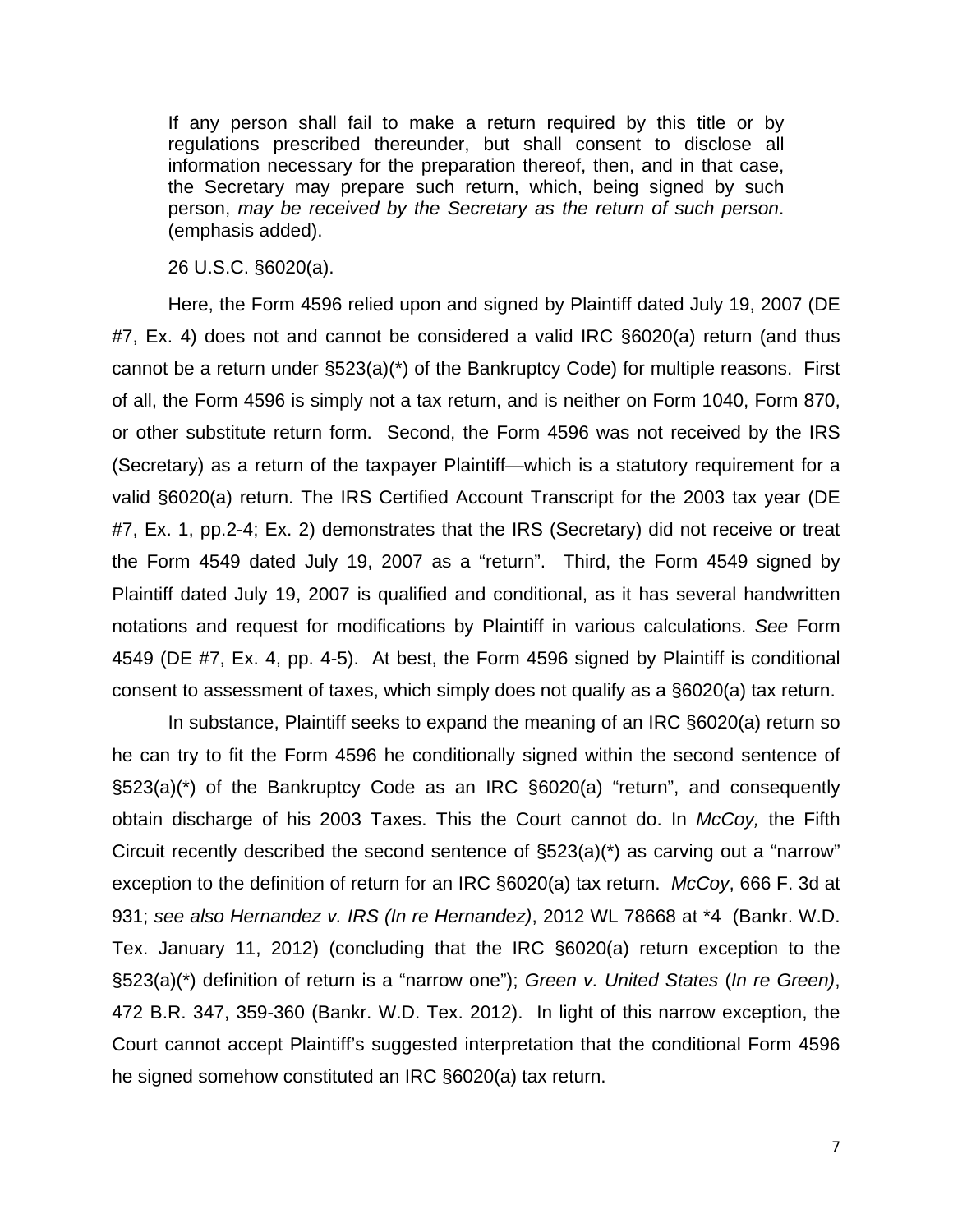If any person shall fail to make a return required by this title or by regulations prescribed thereunder, but shall consent to disclose all information necessary for the preparation thereof, then, and in that case, the Secretary may prepare such return, which, being signed by such person, *may be received by the Secretary as the return of such person*. (emphasis added).

26 U.S.C. §6020(a).

Here, the Form 4596 relied upon and signed by Plaintiff dated July 19, 2007 (DE #7, Ex. 4) does not and cannot be considered a valid IRC §6020(a) return (and thus cannot be a return under §523(a)(\*) of the Bankruptcy Code) for multiple reasons. First of all, the Form 4596 is simply not a tax return, and is neither on Form 1040, Form 870, or other substitute return form. Second, the Form 4596 was not received by the IRS (Secretary) as a return of the taxpayer Plaintiff—which is a statutory requirement for a valid §6020(a) return. The IRS Certified Account Transcript for the 2003 tax year (DE #7, Ex. 1, pp.2-4; Ex. 2) demonstrates that the IRS (Secretary) did not receive or treat the Form 4549 dated July 19, 2007 as a "return". Third, the Form 4549 signed by Plaintiff dated July 19, 2007 is qualified and conditional, as it has several handwritten notations and request for modifications by Plaintiff in various calculations. *See* Form 4549 (DE #7, Ex. 4, pp. 4-5). At best, the Form 4596 signed by Plaintiff is conditional consent to assessment of taxes, which simply does not qualify as a §6020(a) tax return.

In substance, Plaintiff seeks to expand the meaning of an IRC §6020(a) return so he can try to fit the Form 4596 he conditionally signed within the second sentence of §523(a)(\*) of the Bankruptcy Code as an IRC §6020(a) "return", and consequently obtain discharge of his 2003 Taxes. This the Court cannot do. In *McCoy,* the Fifth Circuit recently described the second sentence of §523(a)(\*) as carving out a "narrow" exception to the definition of return for an IRC §6020(a) tax return. *McCoy*, 666 F. 3d at 931; *see also Hernandez v. IRS (In re Hernandez)*, 2012 WL 78668 at \*4 (Bankr. W.D. Tex. January 11, 2012) (concluding that the IRC §6020(a) return exception to the §523(a)(\*) definition of return is a "narrow one"); *Green v. United States* (*In re Green)*, 472 B.R. 347, 359-360 (Bankr. W.D. Tex. 2012). In light of this narrow exception, the Court cannot accept Plaintiff's suggested interpretation that the conditional Form 4596 he signed somehow constituted an IRC §6020(a) tax return.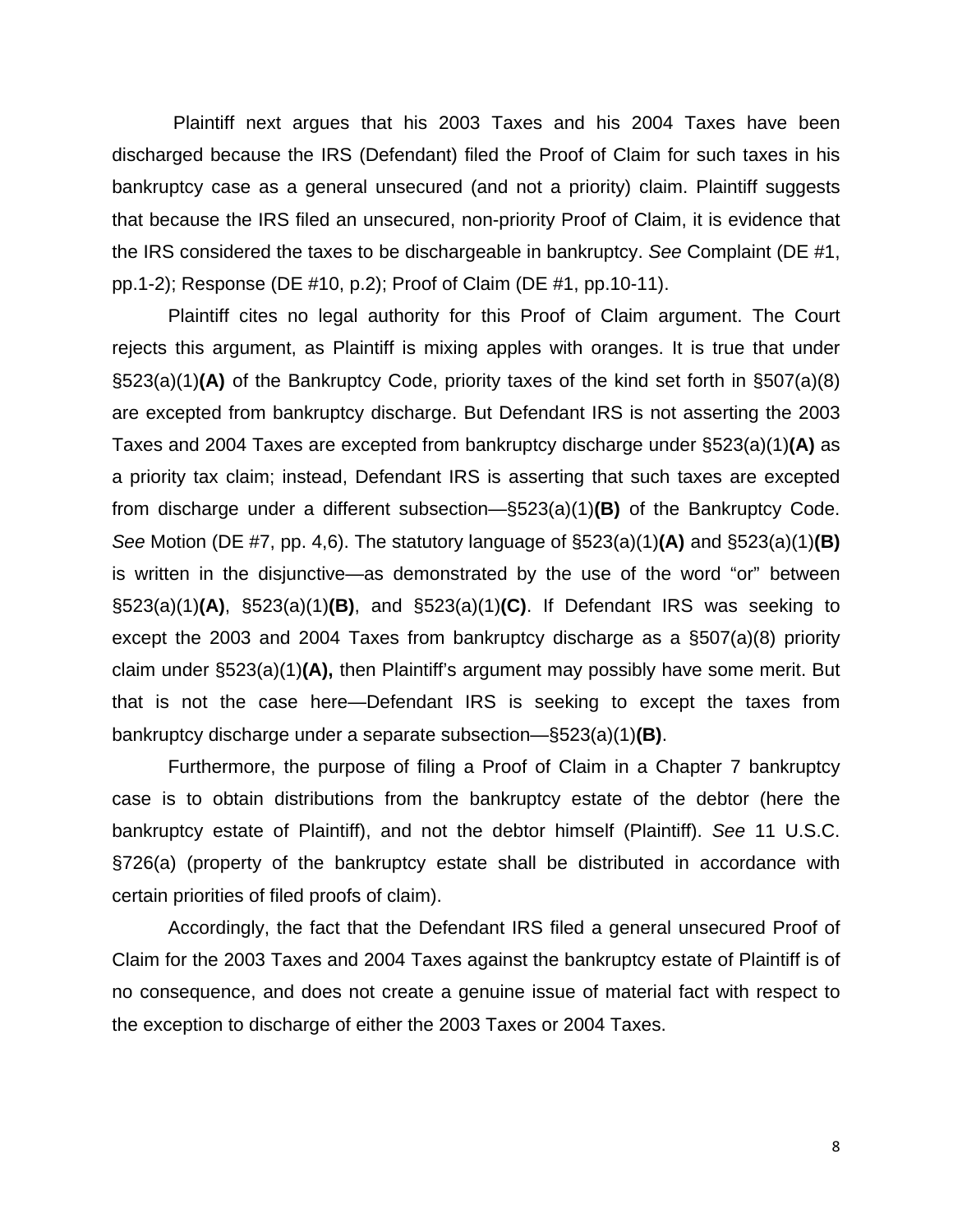Plaintiff next argues that his 2003 Taxes and his 2004 Taxes have been discharged because the IRS (Defendant) filed the Proof of Claim for such taxes in his bankruptcy case as a general unsecured (and not a priority) claim. Plaintiff suggests that because the IRS filed an unsecured, non-priority Proof of Claim, it is evidence that the IRS considered the taxes to be dischargeable in bankruptcy. *See* Complaint (DE #1, pp.1-2); Response (DE #10, p.2); Proof of Claim (DE #1, pp.10-11).

Plaintiff cites no legal authority for this Proof of Claim argument. The Court rejects this argument, as Plaintiff is mixing apples with oranges. It is true that under §523(a)(1)**(A)** of the Bankruptcy Code, priority taxes of the kind set forth in §507(a)(8) are excepted from bankruptcy discharge. But Defendant IRS is not asserting the 2003 Taxes and 2004 Taxes are excepted from bankruptcy discharge under §523(a)(1)**(A)** as a priority tax claim; instead, Defendant IRS is asserting that such taxes are excepted from discharge under a different subsection—§523(a)(1)**(B)** of the Bankruptcy Code. *See* Motion (DE #7, pp. 4,6). The statutory language of §523(a)(1)**(A)** and §523(a)(1)**(B)**  is written in the disjunctive—as demonstrated by the use of the word "or" between §523(a)(1)**(A)**, §523(a)(1)**(B)**, and §523(a)(1)**(C)**. If Defendant IRS was seeking to except the 2003 and 2004 Taxes from bankruptcy discharge as a §507(a)(8) priority claim under §523(a)(1)**(A),** then Plaintiff's argument may possibly have some merit. But that is not the case here—Defendant IRS is seeking to except the taxes from bankruptcy discharge under a separate subsection—§523(a)(1)**(B)**.

Furthermore, the purpose of filing a Proof of Claim in a Chapter 7 bankruptcy case is to obtain distributions from the bankruptcy estate of the debtor (here the bankruptcy estate of Plaintiff), and not the debtor himself (Plaintiff). *See* 11 U.S.C. §726(a) (property of the bankruptcy estate shall be distributed in accordance with certain priorities of filed proofs of claim).

Accordingly, the fact that the Defendant IRS filed a general unsecured Proof of Claim for the 2003 Taxes and 2004 Taxes against the bankruptcy estate of Plaintiff is of no consequence, and does not create a genuine issue of material fact with respect to the exception to discharge of either the 2003 Taxes or 2004 Taxes.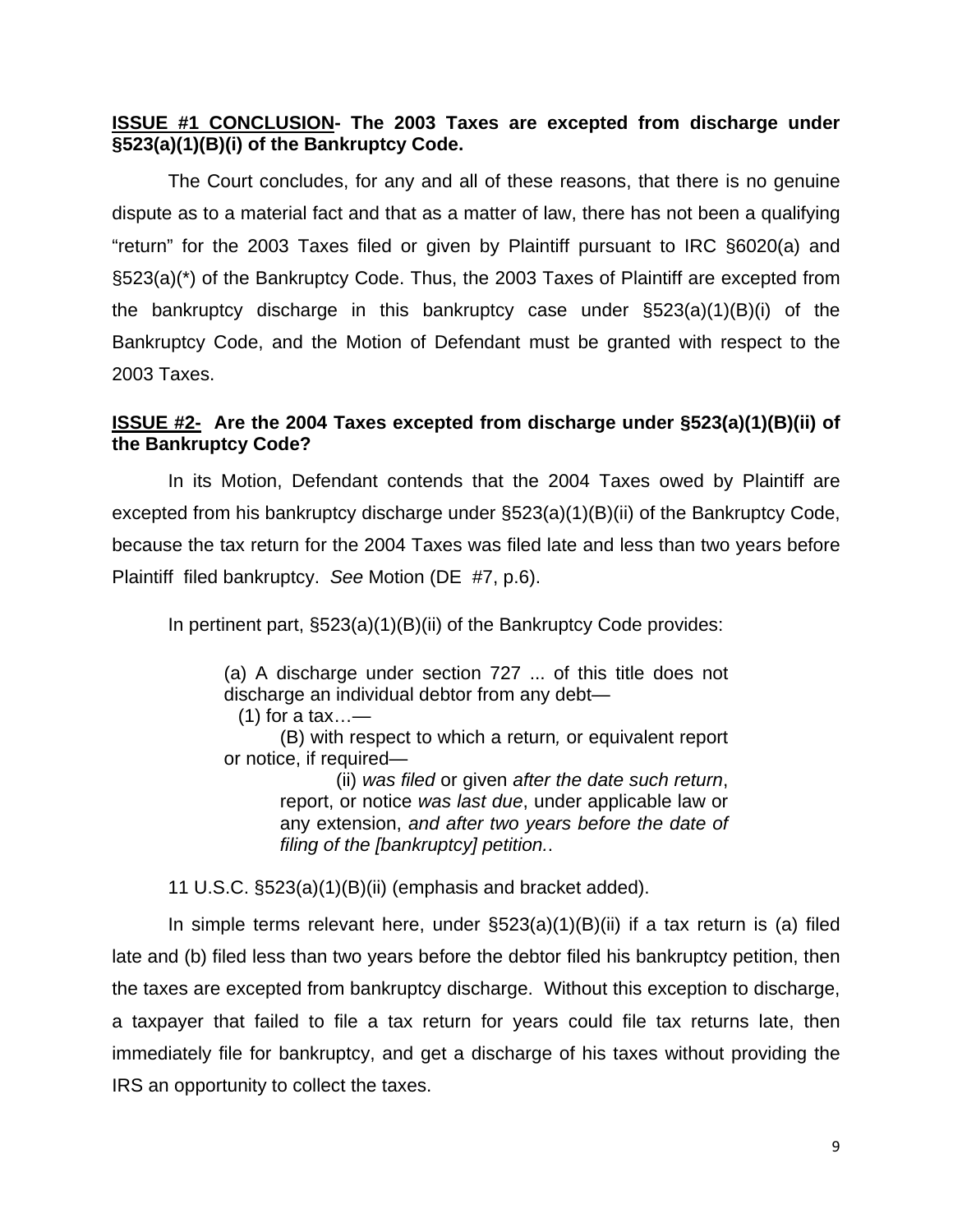## **ISSUE #1 CONCLUSION- The 2003 Taxes are excepted from discharge under §523(a)(1)(B)(i) of the Bankruptcy Code.**

The Court concludes, for any and all of these reasons, that there is no genuine dispute as to a material fact and that as a matter of law, there has not been a qualifying "return" for the 2003 Taxes filed or given by Plaintiff pursuant to IRC §6020(a) and §523(a)(\*) of the Bankruptcy Code. Thus, the 2003 Taxes of Plaintiff are excepted from the bankruptcy discharge in this bankruptcy case under §523(a)(1)(B)(i) of the Bankruptcy Code, and the Motion of Defendant must be granted with respect to the 2003 Taxes.

## **ISSUE #2-****Are the 2004 Taxes excepted from discharge under §523(a)(1)(B)(ii) of the Bankruptcy Code?**

 In its Motion, Defendant contends that the 2004 Taxes owed by Plaintiff are excepted from his bankruptcy discharge under §523(a)(1)(B)(ii) of the Bankruptcy Code, because the tax return for the 2004 Taxes was filed late and less than two years before Plaintiff filed bankruptcy. *See* Motion (DE #7, p.6).

In pertinent part, §523(a)(1)(B)(ii) of the Bankruptcy Code provides:

(a) A discharge under section 727 ... of this title does not discharge an individual debtor from any debt—

 $(1)$  for a tax...—

 (B) with respect to which a return*,* or equivalent report or notice, if required—

> (ii) *was filed* or given *after the date such return*, report, or notice *was last due*, under applicable law or any extension, *and after two years before the date of filing of the [bankruptcy] petition.*.

11 U.S.C. §523(a)(1)(B)(ii) (emphasis and bracket added).

In simple terms relevant here, under  $\S523(a)(1)(B)(ii)$  if a tax return is (a) filed late and (b) filed less than two years before the debtor filed his bankruptcy petition, then the taxes are excepted from bankruptcy discharge. Without this exception to discharge, a taxpayer that failed to file a tax return for years could file tax returns late, then immediately file for bankruptcy, and get a discharge of his taxes without providing the IRS an opportunity to collect the taxes.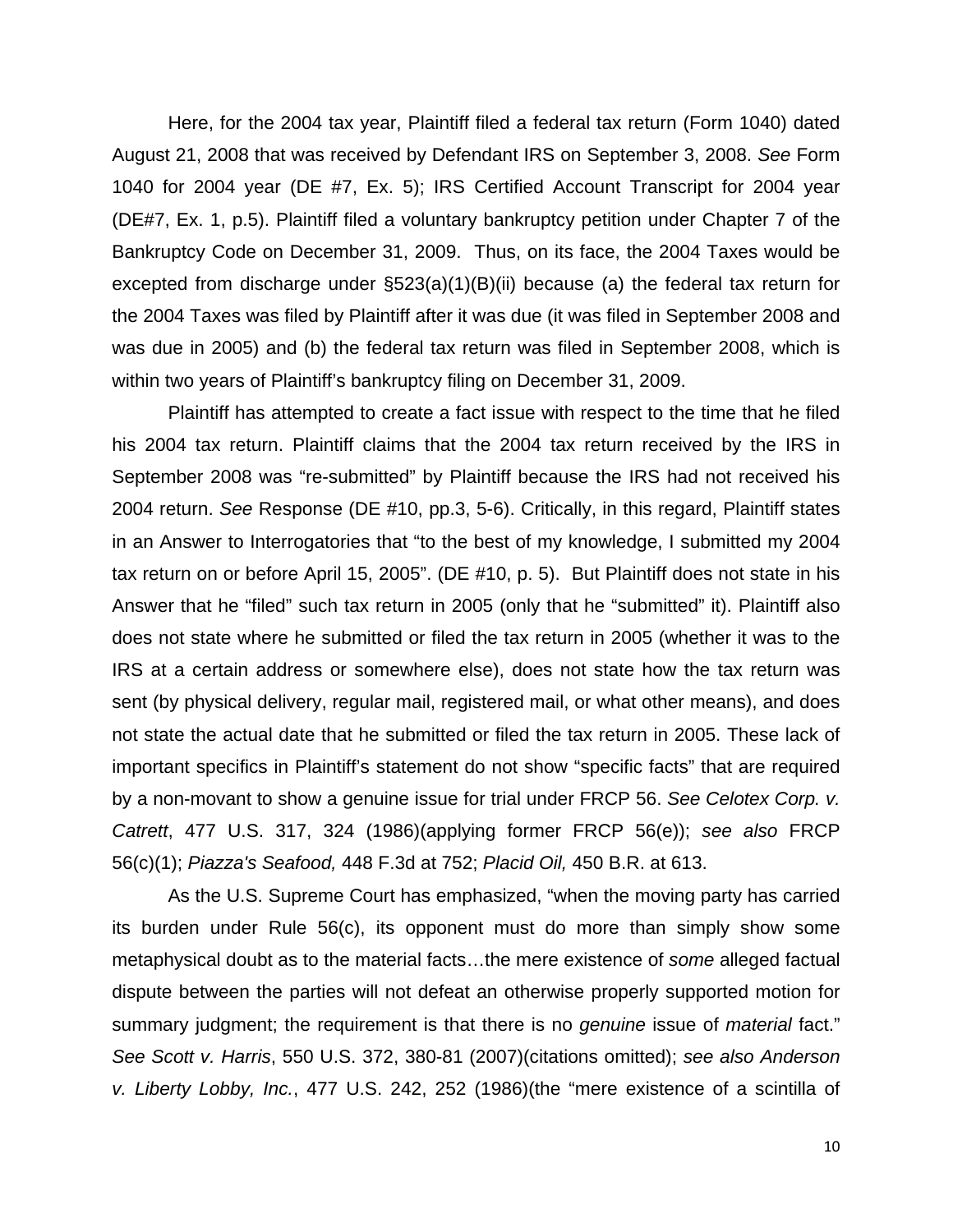Here, for the 2004 tax year, Plaintiff filed a federal tax return (Form 1040) dated August 21, 2008 that was received by Defendant IRS on September 3, 2008. *See* Form 1040 for 2004 year (DE #7, Ex. 5); IRS Certified Account Transcript for 2004 year (DE#7, Ex. 1, p.5). Plaintiff filed a voluntary bankruptcy petition under Chapter 7 of the Bankruptcy Code on December 31, 2009. Thus, on its face, the 2004 Taxes would be excepted from discharge under §523(a)(1)(B)(ii) because (a) the federal tax return for the 2004 Taxes was filed by Plaintiff after it was due (it was filed in September 2008 and was due in 2005) and (b) the federal tax return was filed in September 2008, which is within two years of Plaintiff's bankruptcy filing on December 31, 2009.

Plaintiff has attempted to create a fact issue with respect to the time that he filed his 2004 tax return. Plaintiff claims that the 2004 tax return received by the IRS in September 2008 was "re-submitted" by Plaintiff because the IRS had not received his 2004 return. *See* Response (DE #10, pp.3, 5-6). Critically, in this regard, Plaintiff states in an Answer to Interrogatories that "to the best of my knowledge, I submitted my 2004 tax return on or before April 15, 2005". (DE #10, p. 5). But Plaintiff does not state in his Answer that he "filed" such tax return in 2005 (only that he "submitted" it). Plaintiff also does not state where he submitted or filed the tax return in 2005 (whether it was to the IRS at a certain address or somewhere else), does not state how the tax return was sent (by physical delivery, regular mail, registered mail, or what other means), and does not state the actual date that he submitted or filed the tax return in 2005. These lack of important specifics in Plaintiff's statement do not show "specific facts" that are required by a non-movant to show a genuine issue for trial under FRCP 56. *See Celotex Corp. v. Catrett*, 477 U.S. 317, 324 (1986)(applying former FRCP 56(e)); *see also* FRCP 56(c)(1); *Piazza's Seafood,* 448 F.3d at 752; *Placid Oil,* 450 B.R. at 613.

As the U.S. Supreme Court has emphasized, "when the moving party has carried its burden under Rule 56(c), its opponent must do more than simply show some metaphysical doubt as to the material facts…the mere existence of *some* alleged factual dispute between the parties will not defeat an otherwise properly supported motion for summary judgment; the requirement is that there is no *genuine* issue of *material* fact." *See Scott v. Harris*, 550 U.S. 372, 380-81 (2007)(citations omitted); *see also Anderson v. Liberty Lobby, Inc.*, 477 U.S. 242, 252 (1986)(the "mere existence of a scintilla of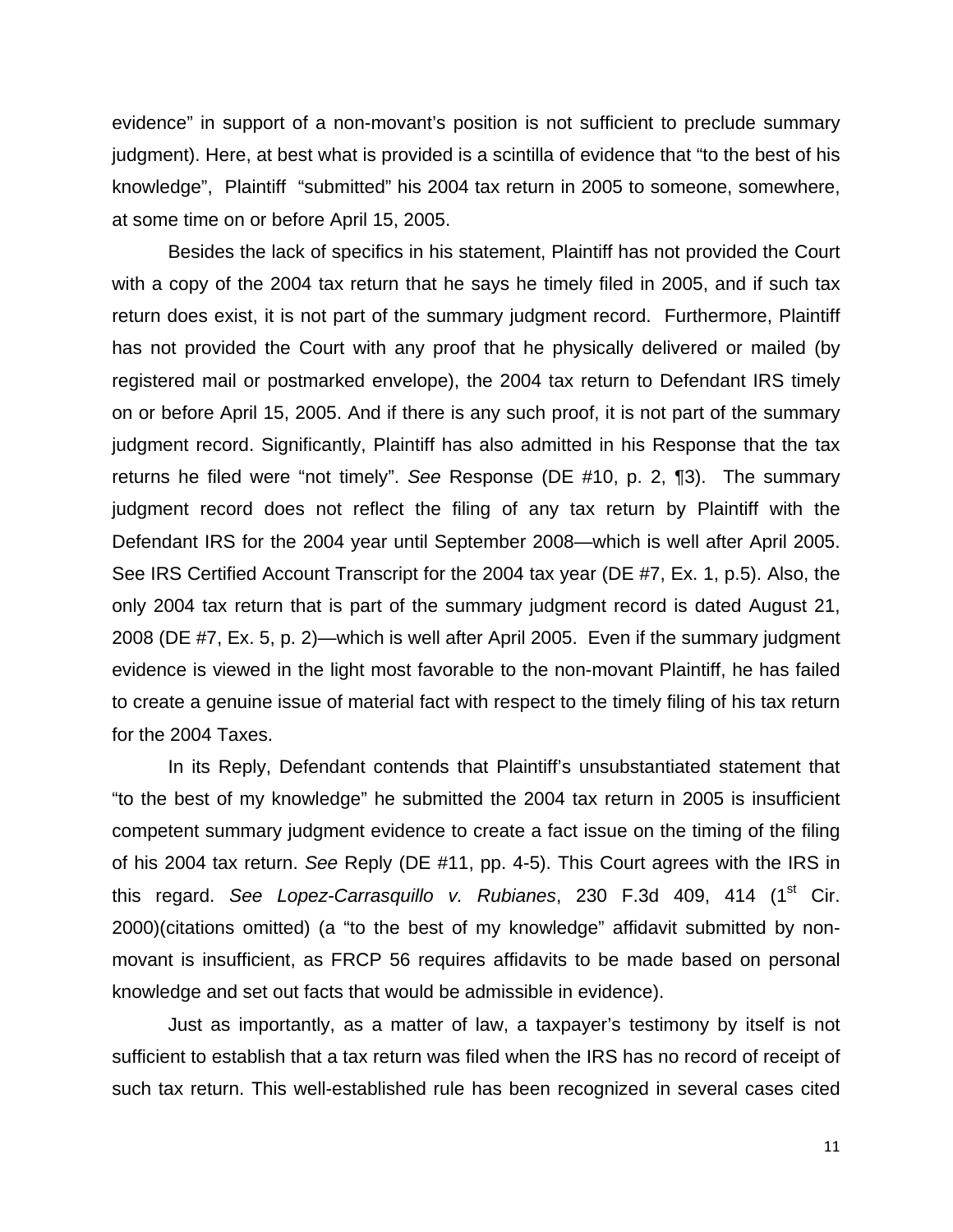evidence" in support of a non-movant's position is not sufficient to preclude summary judgment). Here, at best what is provided is a scintilla of evidence that "to the best of his knowledge", Plaintiff "submitted" his 2004 tax return in 2005 to someone, somewhere, at some time on or before April 15, 2005.

Besides the lack of specifics in his statement, Plaintiff has not provided the Court with a copy of the 2004 tax return that he says he timely filed in 2005, and if such tax return does exist, it is not part of the summary judgment record. Furthermore, Plaintiff has not provided the Court with any proof that he physically delivered or mailed (by registered mail or postmarked envelope), the 2004 tax return to Defendant IRS timely on or before April 15, 2005. And if there is any such proof, it is not part of the summary judgment record. Significantly, Plaintiff has also admitted in his Response that the tax returns he filed were "not timely". *See* Response (DE #10, p. 2, ¶3). The summary judgment record does not reflect the filing of any tax return by Plaintiff with the Defendant IRS for the 2004 year until September 2008—which is well after April 2005. See IRS Certified Account Transcript for the 2004 tax year (DE #7, Ex. 1, p.5). Also, the only 2004 tax return that is part of the summary judgment record is dated August 21, 2008 (DE #7, Ex. 5, p. 2)—which is well after April 2005. Even if the summary judgment evidence is viewed in the light most favorable to the non-movant Plaintiff, he has failed to create a genuine issue of material fact with respect to the timely filing of his tax return for the 2004 Taxes.

In its Reply, Defendant contends that Plaintiff's unsubstantiated statement that "to the best of my knowledge" he submitted the 2004 tax return in 2005 is insufficient competent summary judgment evidence to create a fact issue on the timing of the filing of his 2004 tax return. *See* Reply (DE #11, pp. 4-5). This Court agrees with the IRS in this regard. *See Lopez-Carrasquillo v. Rubianes*, 230 F.3d 409, 414 (1st Cir. 2000)(citations omitted) (a "to the best of my knowledge" affidavit submitted by nonmovant is insufficient, as FRCP 56 requires affidavits to be made based on personal knowledge and set out facts that would be admissible in evidence).

Just as importantly, as a matter of law, a taxpayer's testimony by itself is not sufficient to establish that a tax return was filed when the IRS has no record of receipt of such tax return. This well-established rule has been recognized in several cases cited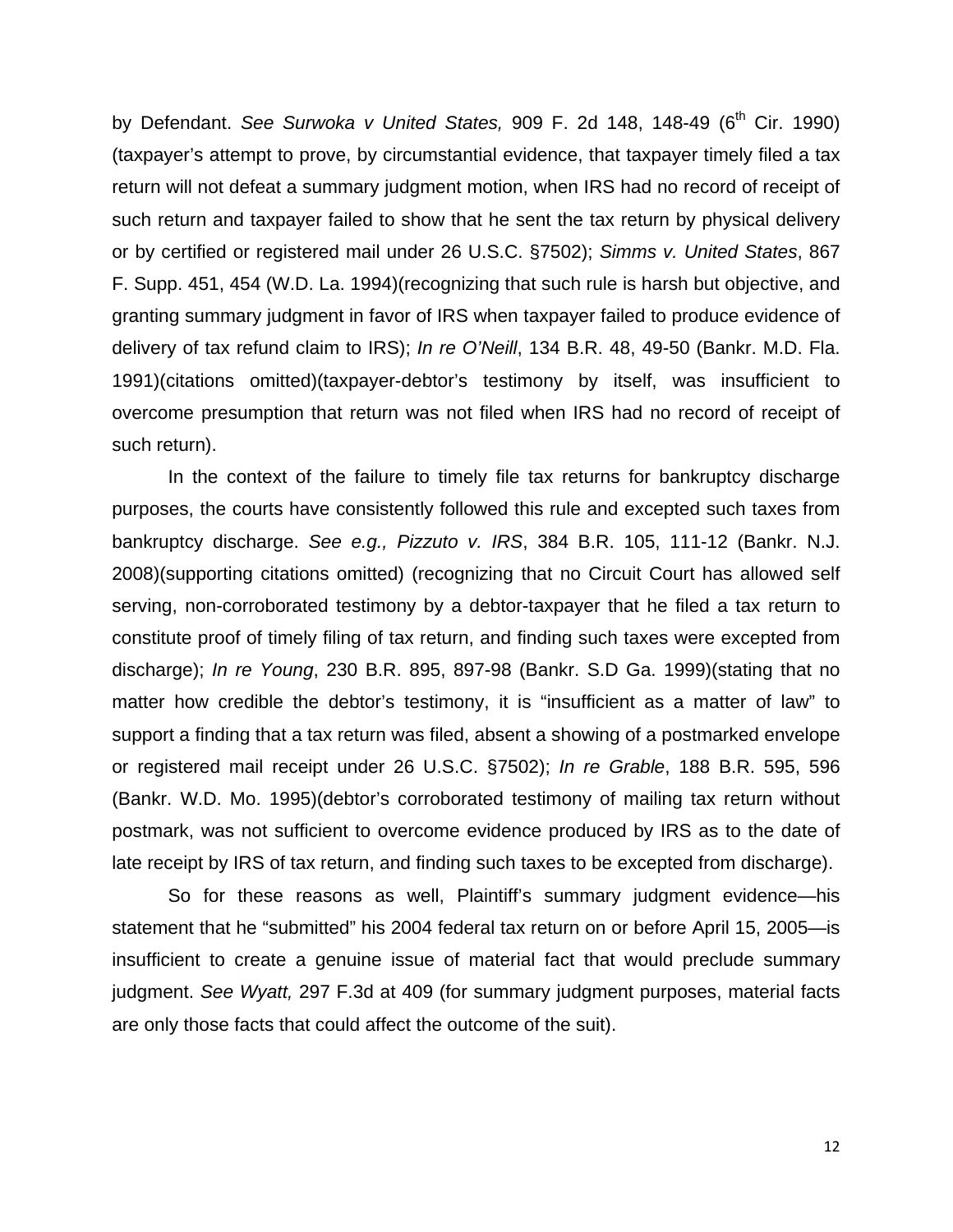by Defendant. *See Surwoka v United States*, 909 F. 2d 148, 148-49 (6<sup>th</sup> Cir. 1990) (taxpayer's attempt to prove, by circumstantial evidence, that taxpayer timely filed a tax return will not defeat a summary judgment motion, when IRS had no record of receipt of such return and taxpayer failed to show that he sent the tax return by physical delivery or by certified or registered mail under 26 U.S.C. §7502); *Simms v. United States*, 867 F. Supp. 451, 454 (W.D. La. 1994)(recognizing that such rule is harsh but objective, and granting summary judgment in favor of IRS when taxpayer failed to produce evidence of delivery of tax refund claim to IRS); *In re O'Neill*, 134 B.R. 48, 49-50 (Bankr. M.D. Fla. 1991)(citations omitted)(taxpayer-debtor's testimony by itself, was insufficient to overcome presumption that return was not filed when IRS had no record of receipt of such return).

In the context of the failure to timely file tax returns for bankruptcy discharge purposes, the courts have consistently followed this rule and excepted such taxes from bankruptcy discharge. *See e.g., Pizzuto v. IRS*, 384 B.R. 105, 111-12 (Bankr. N.J. 2008)(supporting citations omitted) (recognizing that no Circuit Court has allowed self serving, non-corroborated testimony by a debtor-taxpayer that he filed a tax return to constitute proof of timely filing of tax return, and finding such taxes were excepted from discharge); *In re Young*, 230 B.R. 895, 897-98 (Bankr. S.D Ga. 1999)(stating that no matter how credible the debtor's testimony, it is "insufficient as a matter of law" to support a finding that a tax return was filed, absent a showing of a postmarked envelope or registered mail receipt under 26 U.S.C. §7502); *In re Grable*, 188 B.R. 595, 596 (Bankr. W.D. Mo. 1995)(debtor's corroborated testimony of mailing tax return without postmark, was not sufficient to overcome evidence produced by IRS as to the date of late receipt by IRS of tax return, and finding such taxes to be excepted from discharge).

So for these reasons as well, Plaintiff's summary judgment evidence—his statement that he "submitted" his 2004 federal tax return on or before April 15, 2005—is insufficient to create a genuine issue of material fact that would preclude summary judgment. *See Wyatt,* 297 F.3d at 409 (for summary judgment purposes, material facts are only those facts that could affect the outcome of the suit).